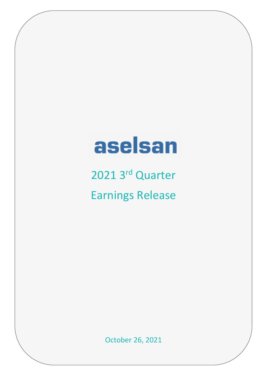# aselsan

2021 3<sup>rd</sup> Quarter Earnings Release

October 26, 2021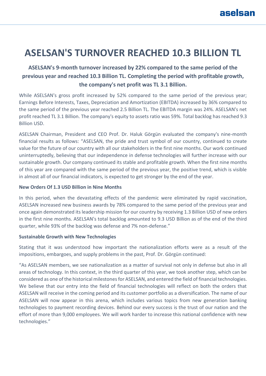# **ASELSAN'S TURNOVER REACHED 10.3 BILLION TL**

## **ASELSAN's 9-month turnover increased by 22% compared to the same period of the previous year and reached 10.3 Billion TL. Completing the period with profitable growth, the company's net profit was TL 3.1 Billion.**

While ASELSAN's gross profit increased by 52% compared to the same period of the previous year; Earnings Before Interests, Taxes, Depreciation and Amortization (EBITDA) increased by 36% compared to the same period of the previous year reached 2.5 Billion TL. The EBITDA margin was 24%. ASELSAN's net profit reached TL 3.1 Billion. The company's equity to assets ratio was 59%. Total backlog has reached 9.3 Billion USD.

ASELSAN Chairman, President and CEO Prof. Dr. Haluk Görgün evaluated the company's nine-month financial results as follows: "ASELSAN, the pride and trust symbol of our country, continued to create value for the future of our country with all our stakeholders in the first nine months. Our work continued uninterruptedly, believing that our independence in defense technologies will further increase with our sustainable growth. Our company continued its stable and profitable growth. When the first nine months of this year are compared with the same period of the previous year, the positive trend, which is visible in almost all of our financial indicators, is expected to get stronger by the end of the year.

#### **New Orders Of 1.3 USD Billion in Nine Months**

In this period, when the devastating effects of the pandemic were eliminated by rapid vaccination, ASELSAN increased new business awards by 78% compared to the same period of the previous year and once again demonstrated its leadership mission for our country by receiving 1.3 Billion USD of new orders in the first nine months. ASELSAN's total backlog amounted to 9.3 USD Billion as of the end of the third quarter, while 93% of the backlog was defense and 7% non-defense."

#### **Sustainable Growth with New Technologies**

Stating that it was understood how important the nationalization efforts were as a result of the impositions, embargoes, and supply problems in the past, Prof. Dr. Görgün continued:

"As ASELSAN members, we see nationalization as a matter of survival not only in defense but also in all areas of technology. In this context, in the third quarter of this year, we took another step, which can be considered as one of the historical milestones for ASELSAN, and entered the field of financial technologies. We believe that our entry into the field of financial technologies will reflect on both the orders that ASELSAN will receive in the coming period and its customer portfolio as a diversification. The name of our ASELSAN will now appear in this arena, which includes various topics from new generation banking technologies to payment recording devices. Behind our every success is the trust of our nation and the effort of more than 9,000 employees. We will work harder to increase this national confidence with new technologies."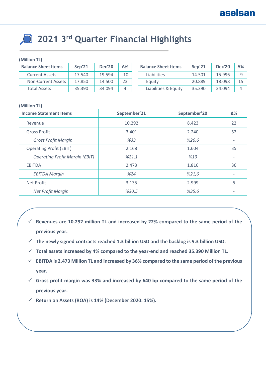# **2021 3rd Quarter Financial Highlights**

#### **(Million TL)**

| <b>Balance Sheet Items</b> | Sep'21 | <b>Dec'20</b> | Δ%    | <b>Balance Sheet Items</b> | Sep'21 | <b>Dec'20</b> | Δ% l |
|----------------------------|--------|---------------|-------|----------------------------|--------|---------------|------|
| <b>Current Assets</b>      | 17.540 | 19.594        | $-10$ | <b>Liabilities</b>         | 14.501 | 15.996        | -9   |
| <b>Non-Current Assets</b>  | 17.850 | 14.500        | 23    | Equity                     | 20.889 | 18.098        | 15   |
| Total Assets               | 35.390 | 34.094        |       | Liabilities & Equity       | 35.390 | 34.094        |      |

#### **(Million TL)**

| <b>Income Statement Items</b>         | September'21 | September'20 | Δ%                       |
|---------------------------------------|--------------|--------------|--------------------------|
| Revenue                               | 10.292       | 8.423        | 22                       |
| <b>Gross Profit</b>                   | 3.401        | 2.240        | 52                       |
| <b>Gross Profit Margin</b>            | %33          | %26,6        |                          |
| <b>Operating Profit (EBIT)</b>        | 2.168        | 1.604        | 35                       |
| <b>Operating Profit Margin (EBIT)</b> | %21,1        | %19          |                          |
| <b>EBITDA</b>                         | 2.473        | 1.816        | 36                       |
| <b>EBITDA Margin</b>                  | %24          | %21,6        | $\overline{\phantom{a}}$ |
| <b>Net Profit</b>                     | 3.135        | 2.999        | 5                        |
| Net Profit Margin                     | %30,5        | %35,6        | ٠                        |

- ✓ **Revenues are 10.292 million TL and increased by 22% compared to the same period of the previous year.**
- ✓ **The newly signed contracts reached 1.3 billion USD and the backlog is 9.3 billion USD.**
- ✓ **Total assets increased by 4% compared to the year-end and reached 35.390 Million TL.**
- ✓ **EBITDA is 2.473 Million TL and increased by 36% compared to the same period of the previous year.**
- ✓ **Gross profit margin was 33% and increased by 640 bp compared to the same period of the previous year.**
- ✓ **Return on Assets (ROA) is 14% (December 2020: 15%).**